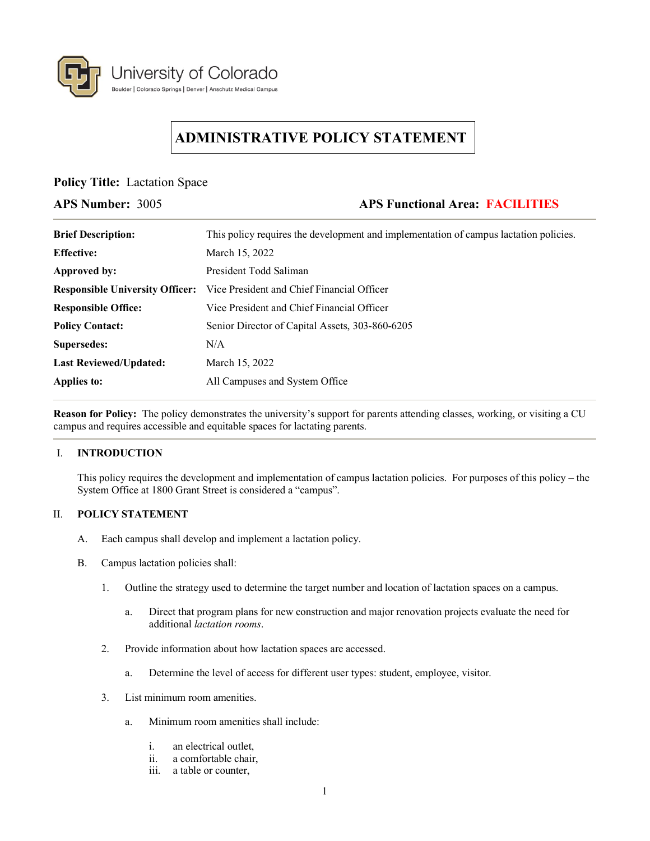

# **ADMINISTRATIVE POLICY STATEMENT**

**Policy Title:** Lactation Space

## **APS Number:** 3005 **APS Functional Area: FACILITIES**

| <b>Brief Description:</b>              | This policy requires the development and implementation of campus lactation policies. |
|----------------------------------------|---------------------------------------------------------------------------------------|
| <b>Effective:</b>                      | March 15, 2022                                                                        |
| Approved by:                           | President Todd Saliman                                                                |
| <b>Responsible University Officer:</b> | Vice President and Chief Financial Officer                                            |
| <b>Responsible Office:</b>             | Vice President and Chief Financial Officer                                            |
| <b>Policy Contact:</b>                 | Senior Director of Capital Assets, 303-860-6205                                       |
| Supersedes:                            | N/A                                                                                   |
| <b>Last Reviewed/Updated:</b>          | March 15, 2022                                                                        |
| Applies to:                            | All Campuses and System Office                                                        |

**Reason for Policy:** The policy demonstrates the university's support for parents attending classes, working, or visiting a CU campus and requires accessible and equitable spaces for lactating parents.

## I. **INTRODUCTION**

This policy requires the development and implementation of campus lactation policies. For purposes of this policy – the System Office at 1800 Grant Street is considered a "campus".

## II. **POLICY STATEMENT**

- A. Each campus shall develop and implement a lactation policy.
- B. Campus lactation policies shall:
	- 1. Outline the strategy used to determine the target number and location of lactation spaces on a campus.
		- a. Direct that program plans for new construction and major renovation projects evaluate the need for additional *lactation rooms*.
	- 2. Provide information about how lactation spaces are accessed.
		- a. Determine the level of access for different user types: student, employee, visitor.
	- 3. List minimum room amenities.
		- a. Minimum room amenities shall include:
			- i. an electrical outlet,
			- ii. a comfortable chair,
			- iii. a table or counter,